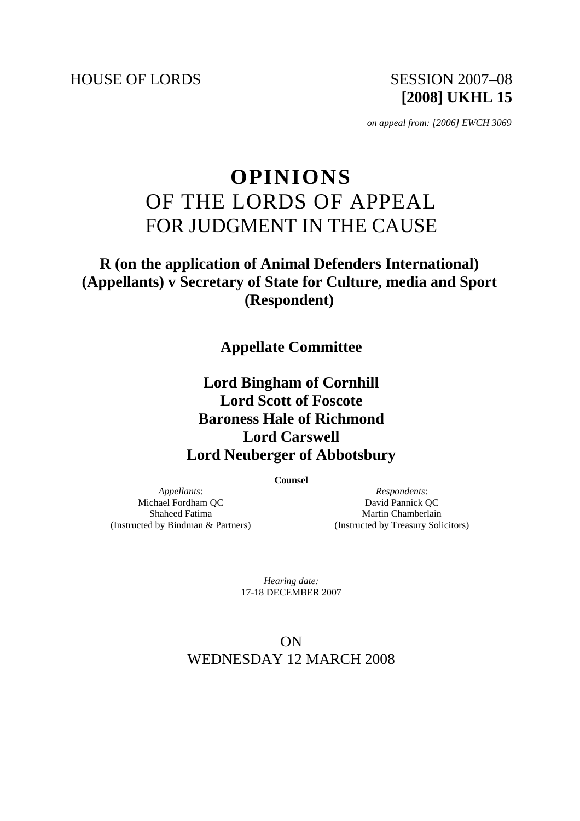HOUSE OF LORDS SESSION 2007-08 **[2008] UKHL 15**

 *on appeal from: [2006] EWCH 3069*

# **OPINIONS**  OF THE LORDS OF APPEAL FOR JUDGMENT IN THE CAUSE

# **R (on the application of Animal Defenders International) (Appellants) v Secretary of State for Culture, media and Sport (Respondent)**

**Appellate Committee** 

# **Lord Bingham of Cornhill Lord Scott of Foscote Baroness Hale of Richmond Lord Carswell Lord Neuberger of Abbotsbury**

**Counsel** 

*Appellants*: Michael Fordham QC Shaheed Fatima (Instructed by Bindman & Partners)

*Respondents*: David Pannick QC Martin Chamberlain (Instructed by Treasury Solicitors)

*Hearing date:*  17-18 DECEMBER 2007

ON WEDNESDAY 12 MARCH 2008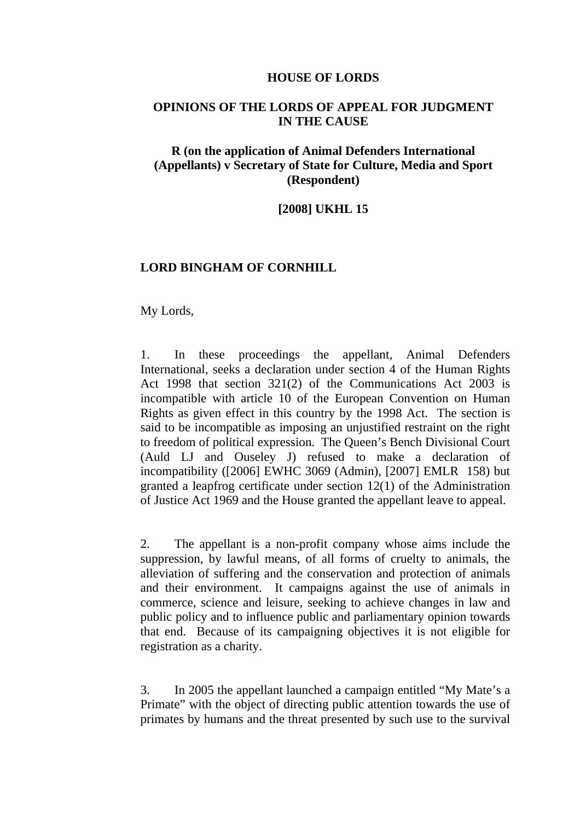#### **HOUSE OF LORDS**

#### **OPINIONS OF THE LORDS OF APPEAL FOR JUDGMENT IN THE CAUSE**

#### **R (on the application of Animal Defenders International (Appellants) v Secretary of State for Culture, Media and Sport (Respondent)**

#### **[2008] UKHL 15**

#### **LORD BINGHAM OF CORNHILL**

My Lords,

1. In these proceedings the appellant, Animal Defenders International, seeks a declaration under section 4 of the Human Rights Act 1998 that section 321(2) of the Communications Act 2003 is incompatible with article 10 of the European Convention on Human Rights as given effect in this country by the 1998 Act. The section is said to be incompatible as imposing an unjustified restraint on the right to freedom of political expression. The Queen's Bench Divisional Court (Auld LJ and Ouseley J) refused to make a declaration of incompatibility ([2006] EWHC 3069 (Admin), [2007] EMLR 158) but granted a leapfrog certificate under section 12(1) of the Administration of Justice Act 1969 and the House granted the appellant leave to appeal.

2. The appellant is a non-profit company whose aims include the suppression, by lawful means, of all forms of cruelty to animals, the alleviation of suffering and the conservation and protection of animals and their environment. It campaigns against the use of animals in commerce, science and leisure, seeking to achieve changes in law and public policy and to influence public and parliamentary opinion towards that end. Because of its campaigning objectives it is not eligible for registration as a charity.

3. In 2005 the appellant launched a campaign entitled "My Mate's a Primate" with the object of directing public attention towards the use of primates by humans and the threat presented by such use to the survival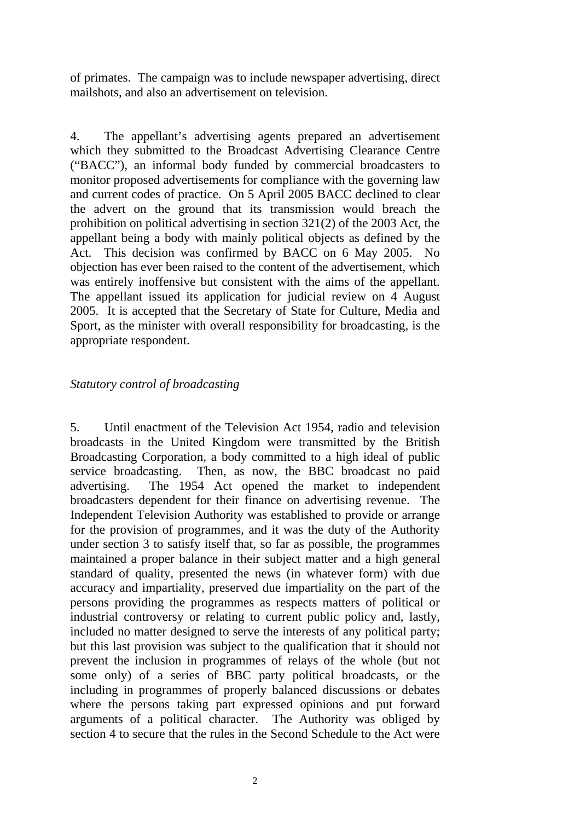of primates. The campaign was to include newspaper advertising, direct mailshots, and also an advertisement on television.

4. The appellant's advertising agents prepared an advertisement which they submitted to the Broadcast Advertising Clearance Centre ("BACC"), an informal body funded by commercial broadcasters to monitor proposed advertisements for compliance with the governing law and current codes of practice. On 5 April 2005 BACC declined to clear the advert on the ground that its transmission would breach the prohibition on political advertising in section 321(2) of the 2003 Act, the appellant being a body with mainly political objects as defined by the Act. This decision was confirmed by BACC on 6 May 2005. No objection has ever been raised to the content of the advertisement, which was entirely inoffensive but consistent with the aims of the appellant. The appellant issued its application for judicial review on 4 August 2005. It is accepted that the Secretary of State for Culture, Media and Sport, as the minister with overall responsibility for broadcasting, is the appropriate respondent.

#### *Statutory control of broadcasting*

5. Until enactment of the Television Act 1954, radio and television broadcasts in the United Kingdom were transmitted by the British Broadcasting Corporation, a body committed to a high ideal of public service broadcasting. Then, as now, the BBC broadcast no paid advertising. The 1954 Act opened the market to independent broadcasters dependent for their finance on advertising revenue. The Independent Television Authority was established to provide or arrange for the provision of programmes, and it was the duty of the Authority under section 3 to satisfy itself that, so far as possible, the programmes maintained a proper balance in their subject matter and a high general standard of quality, presented the news (in whatever form) with due accuracy and impartiality, preserved due impartiality on the part of the persons providing the programmes as respects matters of political or industrial controversy or relating to current public policy and, lastly, included no matter designed to serve the interests of any political party; but this last provision was subject to the qualification that it should not prevent the inclusion in programmes of relays of the whole (but not some only) of a series of BBC party political broadcasts, or the including in programmes of properly balanced discussions or debates where the persons taking part expressed opinions and put forward arguments of a political character. The Authority was obliged by section 4 to secure that the rules in the Second Schedule to the Act were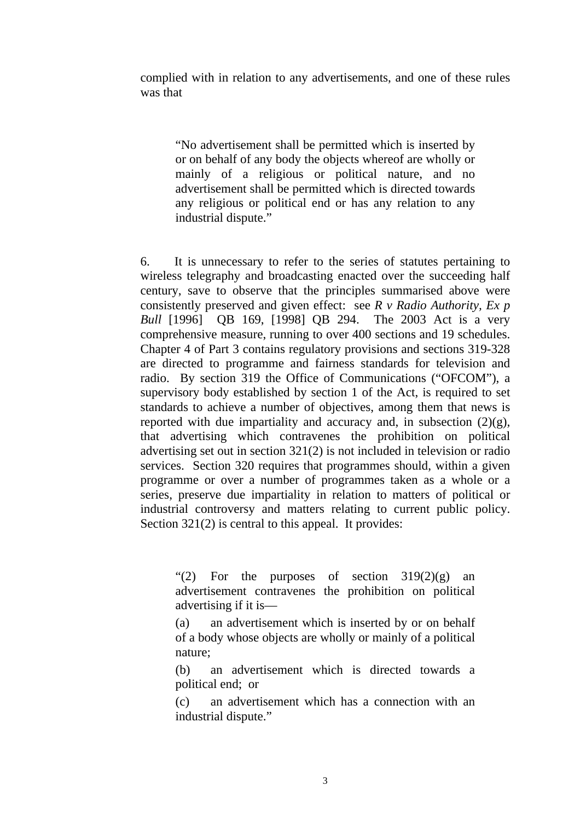complied with in relation to any advertisements, and one of these rules was that

"No advertisement shall be permitted which is inserted by or on behalf of any body the objects whereof are wholly or mainly of a religious or political nature, and no advertisement shall be permitted which is directed towards any religious or political end or has any relation to any industrial dispute."

6. It is unnecessary to refer to the series of statutes pertaining to wireless telegraphy and broadcasting enacted over the succeeding half century, save to observe that the principles summarised above were consistently preserved and given effect: see *R v Radio Authority, Ex p Bull* [1996] QB 169, [1998] QB 294. The 2003 Act is a very comprehensive measure, running to over 400 sections and 19 schedules. Chapter 4 of Part 3 contains regulatory provisions and sections 319-328 are directed to programme and fairness standards for television and radio. By section 319 the Office of Communications ("OFCOM"), a supervisory body established by section 1 of the Act, is required to set standards to achieve a number of objectives, among them that news is reported with due impartiality and accuracy and, in subsection  $(2)(g)$ , that advertising which contravenes the prohibition on political advertising set out in section 321(2) is not included in television or radio services. Section 320 requires that programmes should, within a given programme or over a number of programmes taken as a whole or a series, preserve due impartiality in relation to matters of political or industrial controversy and matters relating to current public policy. Section  $321(2)$  is central to this appeal. It provides:

"(2) For the purposes of section  $319(2)(g)$  and advertisement contravenes the prohibition on political advertising if it is—

(a) an advertisement which is inserted by or on behalf of a body whose objects are wholly or mainly of a political nature;

(b) an advertisement which is directed towards a political end; or

(c) an advertisement which has a connection with an industrial dispute."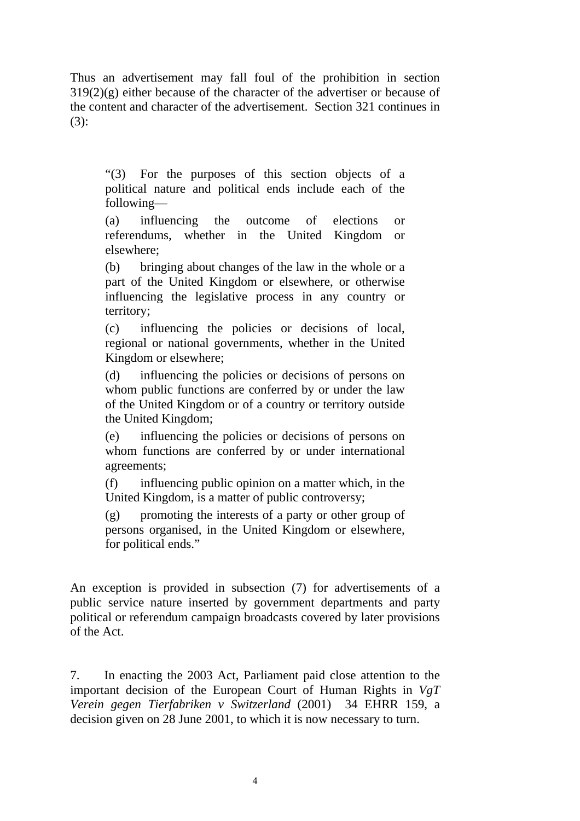Thus an advertisement may fall foul of the prohibition in section  $319(2)(g)$  either because of the character of the advertiser or because of the content and character of the advertisement. Section 321 continues in (3):

"(3) For the purposes of this section objects of a political nature and political ends include each of the following—

(a) influencing the outcome of elections or referendums, whether in the United Kingdom or elsewhere;

(b) bringing about changes of the law in the whole or a part of the United Kingdom or elsewhere, or otherwise influencing the legislative process in any country or territory;

(c) influencing the policies or decisions of local, regional or national governments, whether in the United Kingdom or elsewhere;

(d) influencing the policies or decisions of persons on whom public functions are conferred by or under the law of the United Kingdom or of a country or territory outside the United Kingdom;

(e) influencing the policies or decisions of persons on whom functions are conferred by or under international agreements;

(f) influencing public opinion on a matter which, in the United Kingdom, is a matter of public controversy;

(g) promoting the interests of a party or other group of persons organised, in the United Kingdom or elsewhere, for political ends."

An exception is provided in subsection (7) for advertisements of a public service nature inserted by government departments and party political or referendum campaign broadcasts covered by later provisions of the Act.

7. In enacting the 2003 Act, Parliament paid close attention to the important decision of the European Court of Human Rights in *VgT Verein gegen Tierfabriken v Switzerland* (2001) 34 EHRR 159, a decision given on 28 June 2001, to which it is now necessary to turn.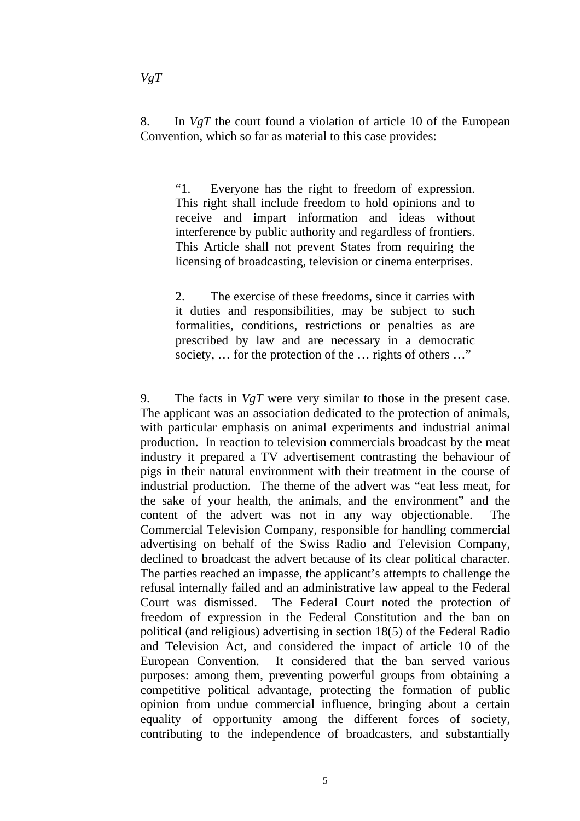8. In *VgT* the court found a violation of article 10 of the European Convention, which so far as material to this case provides:

"1. Everyone has the right to freedom of expression. This right shall include freedom to hold opinions and to receive and impart information and ideas without interference by public authority and regardless of frontiers. This Article shall not prevent States from requiring the licensing of broadcasting, television or cinema enterprises.

2. The exercise of these freedoms, since it carries with it duties and responsibilities, may be subject to such formalities, conditions, restrictions or penalties as are prescribed by law and are necessary in a democratic society, ... for the protection of the ... rights of others ..."

9. The facts in *VgT* were very similar to those in the present case. The applicant was an association dedicated to the protection of animals, with particular emphasis on animal experiments and industrial animal production. In reaction to television commercials broadcast by the meat industry it prepared a TV advertisement contrasting the behaviour of pigs in their natural environment with their treatment in the course of industrial production. The theme of the advert was "eat less meat, for the sake of your health, the animals, and the environment" and the content of the advert was not in any way objectionable. The Commercial Television Company, responsible for handling commercial advertising on behalf of the Swiss Radio and Television Company, declined to broadcast the advert because of its clear political character. The parties reached an impasse, the applicant's attempts to challenge the refusal internally failed and an administrative law appeal to the Federal Court was dismissed. The Federal Court noted the protection of freedom of expression in the Federal Constitution and the ban on political (and religious) advertising in section 18(5) of the Federal Radio and Television Act, and considered the impact of article 10 of the European Convention. It considered that the ban served various purposes: among them, preventing powerful groups from obtaining a competitive political advantage, protecting the formation of public opinion from undue commercial influence, bringing about a certain equality of opportunity among the different forces of society, contributing to the independence of broadcasters, and substantially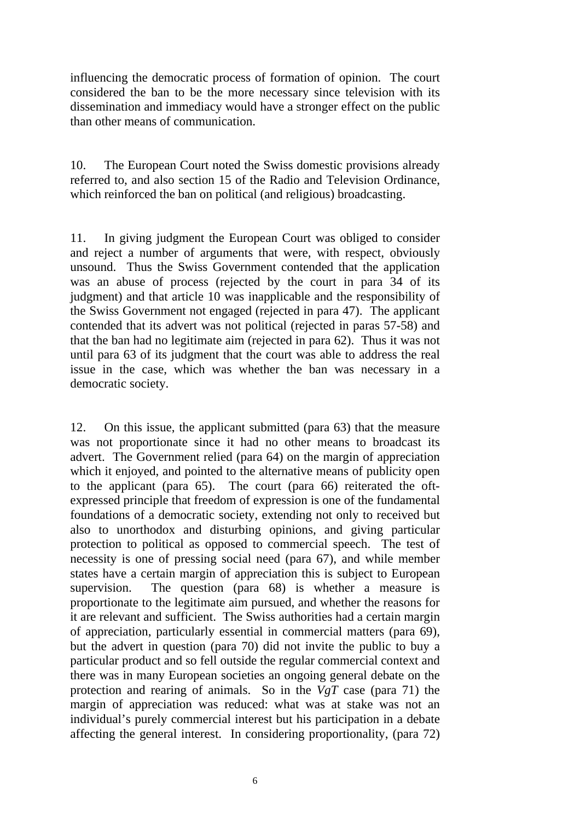influencing the democratic process of formation of opinion. The court considered the ban to be the more necessary since television with its dissemination and immediacy would have a stronger effect on the public than other means of communication.

10. The European Court noted the Swiss domestic provisions already referred to, and also section 15 of the Radio and Television Ordinance, which reinforced the ban on political (and religious) broadcasting.

11. In giving judgment the European Court was obliged to consider and reject a number of arguments that were, with respect, obviously unsound. Thus the Swiss Government contended that the application was an abuse of process (rejected by the court in para 34 of its judgment) and that article 10 was inapplicable and the responsibility of the Swiss Government not engaged (rejected in para 47). The applicant contended that its advert was not political (rejected in paras 57-58) and that the ban had no legitimate aim (rejected in para 62). Thus it was not until para 63 of its judgment that the court was able to address the real issue in the case, which was whether the ban was necessary in a democratic society.

12. On this issue, the applicant submitted (para 63) that the measure was not proportionate since it had no other means to broadcast its advert. The Government relied (para 64) on the margin of appreciation which it enjoyed, and pointed to the alternative means of publicity open to the applicant (para 65). The court (para 66) reiterated the oftexpressed principle that freedom of expression is one of the fundamental foundations of a democratic society, extending not only to received but also to unorthodox and disturbing opinions, and giving particular protection to political as opposed to commercial speech. The test of necessity is one of pressing social need (para 67), and while member states have a certain margin of appreciation this is subject to European supervision. The question (para 68) is whether a measure is proportionate to the legitimate aim pursued, and whether the reasons for it are relevant and sufficient. The Swiss authorities had a certain margin of appreciation, particularly essential in commercial matters (para 69), but the advert in question (para 70) did not invite the public to buy a particular product and so fell outside the regular commercial context and there was in many European societies an ongoing general debate on the protection and rearing of animals. So in the *VgT* case (para 71) the margin of appreciation was reduced: what was at stake was not an individual's purely commercial interest but his participation in a debate affecting the general interest. In considering proportionality, (para 72)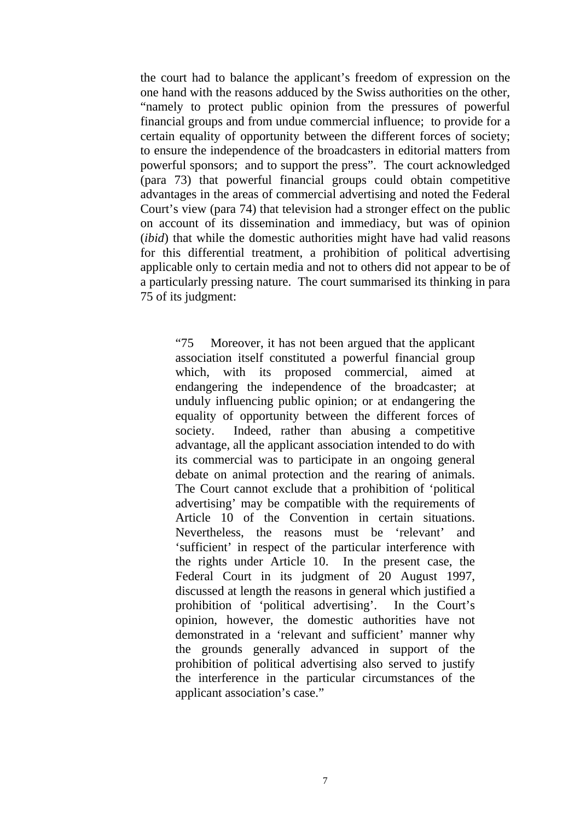the court had to balance the applicant's freedom of expression on the one hand with the reasons adduced by the Swiss authorities on the other, "namely to protect public opinion from the pressures of powerful financial groups and from undue commercial influence; to provide for a certain equality of opportunity between the different forces of society; to ensure the independence of the broadcasters in editorial matters from powerful sponsors; and to support the press". The court acknowledged (para 73) that powerful financial groups could obtain competitive advantages in the areas of commercial advertising and noted the Federal Court's view (para 74) that television had a stronger effect on the public on account of its dissemination and immediacy, but was of opinion (*ibid*) that while the domestic authorities might have had valid reasons for this differential treatment, a prohibition of political advertising applicable only to certain media and not to others did not appear to be of a particularly pressing nature. The court summarised its thinking in para 75 of its judgment:

"75 Moreover, it has not been argued that the applicant association itself constituted a powerful financial group which, with its proposed commercial, aimed at endangering the independence of the broadcaster; at unduly influencing public opinion; or at endangering the equality of opportunity between the different forces of society. Indeed, rather than abusing a competitive advantage, all the applicant association intended to do with its commercial was to participate in an ongoing general debate on animal protection and the rearing of animals. The Court cannot exclude that a prohibition of 'political advertising' may be compatible with the requirements of Article 10 of the Convention in certain situations. Nevertheless, the reasons must be 'relevant' and 'sufficient' in respect of the particular interference with the rights under Article 10. In the present case, the Federal Court in its judgment of 20 August 1997, discussed at length the reasons in general which justified a prohibition of 'political advertising'. In the Court's opinion, however, the domestic authorities have not demonstrated in a 'relevant and sufficient' manner why the grounds generally advanced in support of the prohibition of political advertising also served to justify the interference in the particular circumstances of the applicant association's case."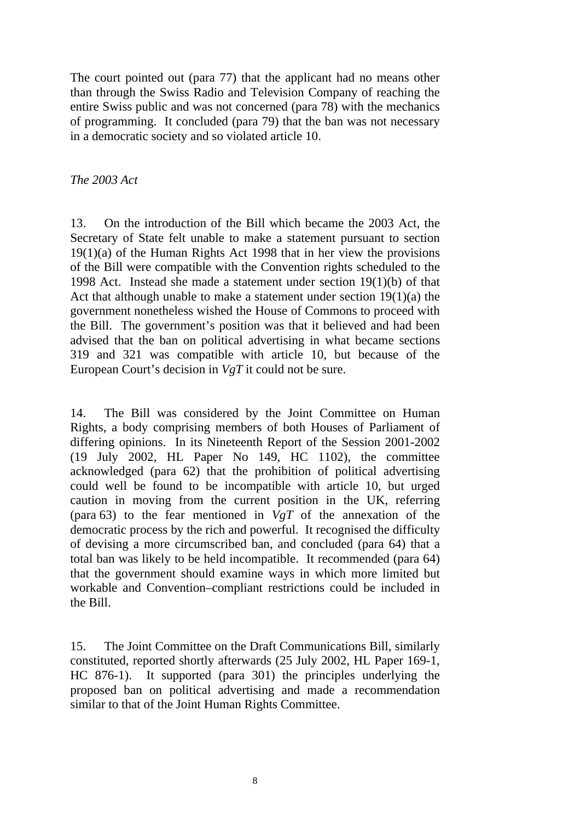The court pointed out (para 77) that the applicant had no means other than through the Swiss Radio and Television Company of reaching the entire Swiss public and was not concerned (para 78) with the mechanics of programming. It concluded (para 79) that the ban was not necessary in a democratic society and so violated article 10.

#### *The 2003 Act*

13. On the introduction of the Bill which became the 2003 Act, the Secretary of State felt unable to make a statement pursuant to section 19(1)(a) of the Human Rights Act 1998 that in her view the provisions of the Bill were compatible with the Convention rights scheduled to the 1998 Act. Instead she made a statement under section 19(1)(b) of that Act that although unable to make a statement under section 19(1)(a) the government nonetheless wished the House of Commons to proceed with the Bill. The government's position was that it believed and had been advised that the ban on political advertising in what became sections 319 and 321 was compatible with article 10, but because of the European Court's decision in *VgT* it could not be sure.

14. The Bill was considered by the Joint Committee on Human Rights, a body comprising members of both Houses of Parliament of differing opinions. In its Nineteenth Report of the Session 2001-2002 (19 July 2002, HL Paper No 149, HC 1102), the committee acknowledged (para 62) that the prohibition of political advertising could well be found to be incompatible with article 10, but urged caution in moving from the current position in the UK, referring (para 63) to the fear mentioned in *VgT* of the annexation of the democratic process by the rich and powerful. It recognised the difficulty of devising a more circumscribed ban, and concluded (para 64) that a total ban was likely to be held incompatible. It recommended (para 64) that the government should examine ways in which more limited but workable and Convention–compliant restrictions could be included in the Bill.

15. The Joint Committee on the Draft Communications Bill, similarly constituted, reported shortly afterwards (25 July 2002, HL Paper 169-1, HC 876-1). It supported (para 301) the principles underlying the proposed ban on political advertising and made a recommendation similar to that of the Joint Human Rights Committee.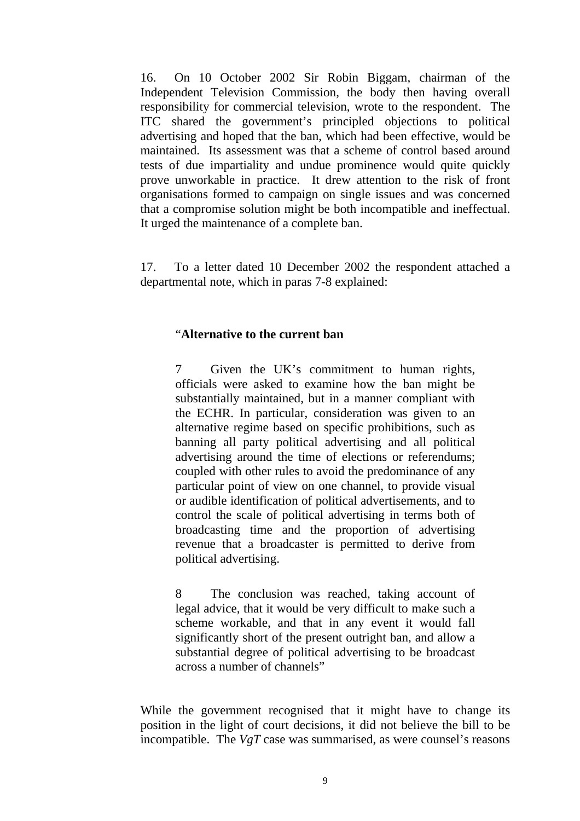16. On 10 October 2002 Sir Robin Biggam, chairman of the Independent Television Commission, the body then having overall responsibility for commercial television, wrote to the respondent. The ITC shared the government's principled objections to political advertising and hoped that the ban, which had been effective, would be maintained. Its assessment was that a scheme of control based around tests of due impartiality and undue prominence would quite quickly prove unworkable in practice. It drew attention to the risk of front organisations formed to campaign on single issues and was concerned that a compromise solution might be both incompatible and ineffectual. It urged the maintenance of a complete ban.

17. To a letter dated 10 December 2002 the respondent attached a departmental note, which in paras 7-8 explained:

#### "**Alternative to the current ban**

7 Given the UK's commitment to human rights, officials were asked to examine how the ban might be substantially maintained, but in a manner compliant with the ECHR. In particular, consideration was given to an alternative regime based on specific prohibitions, such as banning all party political advertising and all political advertising around the time of elections or referendums; coupled with other rules to avoid the predominance of any particular point of view on one channel, to provide visual or audible identification of political advertisements, and to control the scale of political advertising in terms both of broadcasting time and the proportion of advertising revenue that a broadcaster is permitted to derive from political advertising.

8 The conclusion was reached, taking account of legal advice, that it would be very difficult to make such a scheme workable, and that in any event it would fall significantly short of the present outright ban, and allow a substantial degree of political advertising to be broadcast across a number of channels"

While the government recognised that it might have to change its position in the light of court decisions, it did not believe the bill to be incompatible. The *VgT* case was summarised, as were counsel's reasons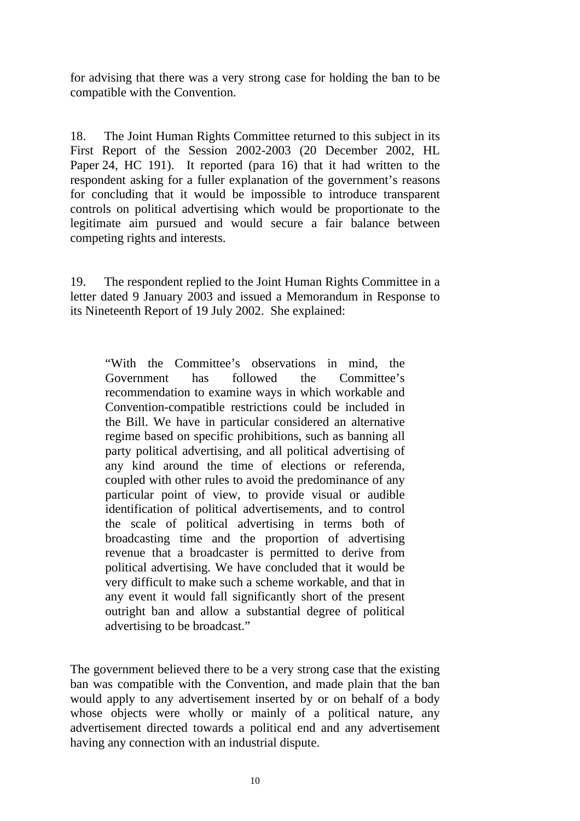for advising that there was a very strong case for holding the ban to be compatible with the Convention.

18. The Joint Human Rights Committee returned to this subject in its First Report of the Session 2002-2003 (20 December 2002, HL Paper 24, HC 191). It reported (para 16) that it had written to the respondent asking for a fuller explanation of the government's reasons for concluding that it would be impossible to introduce transparent controls on political advertising which would be proportionate to the legitimate aim pursued and would secure a fair balance between competing rights and interests.

19. The respondent replied to the Joint Human Rights Committee in a letter dated 9 January 2003 and issued a Memorandum in Response to its Nineteenth Report of 19 July 2002. She explained:

"With the Committee's observations in mind, the Government has followed the Committee's recommendation to examine ways in which workable and Convention-compatible restrictions could be included in the Bill. We have in particular considered an alternative regime based on specific prohibitions, such as banning all party political advertising, and all political advertising of any kind around the time of elections or referenda, coupled with other rules to avoid the predominance of any particular point of view, to provide visual or audible identification of political advertisements, and to control the scale of political advertising in terms both of broadcasting time and the proportion of advertising revenue that a broadcaster is permitted to derive from political advertising. We have concluded that it would be very difficult to make such a scheme workable, and that in any event it would fall significantly short of the present outright ban and allow a substantial degree of political advertising to be broadcast."

The government believed there to be a very strong case that the existing ban was compatible with the Convention, and made plain that the ban would apply to any advertisement inserted by or on behalf of a body whose objects were wholly or mainly of a political nature, any advertisement directed towards a political end and any advertisement having any connection with an industrial dispute.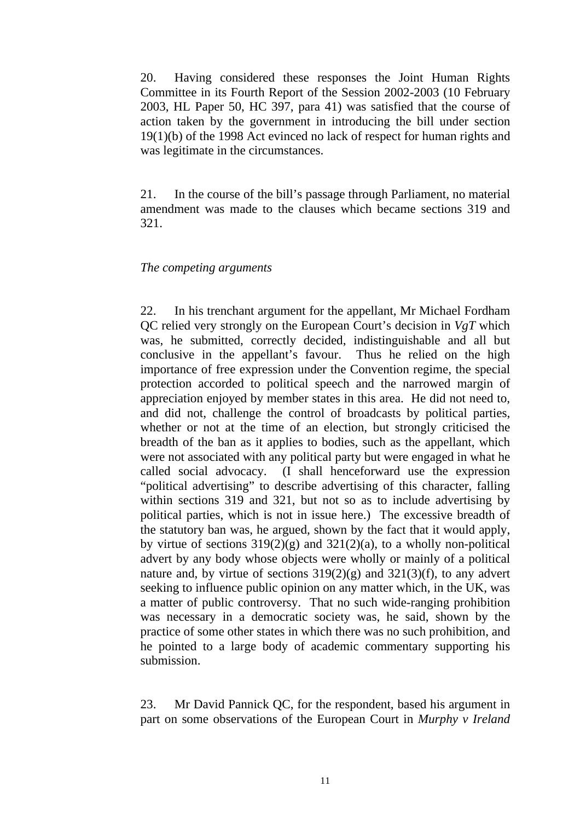20. Having considered these responses the Joint Human Rights Committee in its Fourth Report of the Session 2002-2003 (10 February 2003, HL Paper 50, HC 397, para 41) was satisfied that the course of action taken by the government in introducing the bill under section 19(1)(b) of the 1998 Act evinced no lack of respect for human rights and was legitimate in the circumstances.

21. In the course of the bill's passage through Parliament, no material amendment was made to the clauses which became sections 319 and 321.

#### *The competing arguments*

22. In his trenchant argument for the appellant, Mr Michael Fordham QC relied very strongly on the European Court's decision in *VgT* which was, he submitted, correctly decided, indistinguishable and all but conclusive in the appellant's favour. Thus he relied on the high importance of free expression under the Convention regime, the special protection accorded to political speech and the narrowed margin of appreciation enjoyed by member states in this area. He did not need to, and did not, challenge the control of broadcasts by political parties, whether or not at the time of an election, but strongly criticised the breadth of the ban as it applies to bodies, such as the appellant, which were not associated with any political party but were engaged in what he called social advocacy. (I shall henceforward use the expression "political advertising" to describe advertising of this character, falling within sections 319 and 321, but not so as to include advertising by political parties, which is not in issue here.) The excessive breadth of the statutory ban was, he argued, shown by the fact that it would apply, by virtue of sections  $319(2)(g)$  and  $321(2)(a)$ , to a wholly non-political advert by any body whose objects were wholly or mainly of a political nature and, by virtue of sections  $319(2)(g)$  and  $321(3)(f)$ , to any advert seeking to influence public opinion on any matter which, in the UK, was a matter of public controversy. That no such wide-ranging prohibition was necessary in a democratic society was, he said, shown by the practice of some other states in which there was no such prohibition, and he pointed to a large body of academic commentary supporting his submission.

23. Mr David Pannick QC, for the respondent, based his argument in part on some observations of the European Court in *Murphy v Ireland*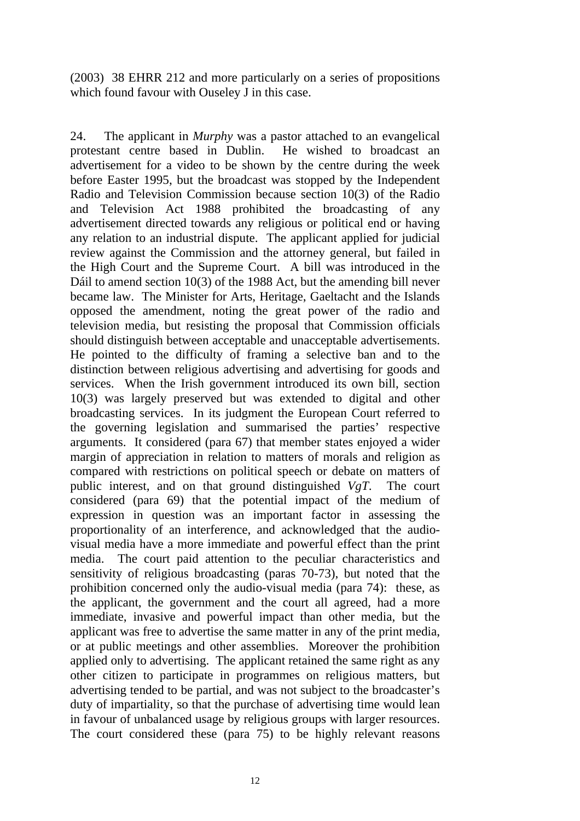(2003) 38 EHRR 212 and more particularly on a series of propositions which found favour with Ouseley J in this case.

24. The applicant in *Murphy* was a pastor attached to an evangelical protestant centre based in Dublin. He wished to broadcast an advertisement for a video to be shown by the centre during the week before Easter 1995, but the broadcast was stopped by the Independent Radio and Television Commission because section 10(3) of the Radio and Television Act 1988 prohibited the broadcasting of any advertisement directed towards any religious or political end or having any relation to an industrial dispute. The applicant applied for judicial review against the Commission and the attorney general, but failed in the High Court and the Supreme Court. A bill was introduced in the Dáil to amend section 10(3) of the 1988 Act, but the amending bill never became law. The Minister for Arts, Heritage, Gaeltacht and the Islands opposed the amendment, noting the great power of the radio and television media, but resisting the proposal that Commission officials should distinguish between acceptable and unacceptable advertisements. He pointed to the difficulty of framing a selective ban and to the distinction between religious advertising and advertising for goods and services. When the Irish government introduced its own bill, section 10(3) was largely preserved but was extended to digital and other broadcasting services. In its judgment the European Court referred to the governing legislation and summarised the parties' respective arguments. It considered (para 67) that member states enjoyed a wider margin of appreciation in relation to matters of morals and religion as compared with restrictions on political speech or debate on matters of public interest, and on that ground distinguished *VgT*. The court considered (para 69) that the potential impact of the medium of expression in question was an important factor in assessing the proportionality of an interference, and acknowledged that the audiovisual media have a more immediate and powerful effect than the print media. The court paid attention to the peculiar characteristics and sensitivity of religious broadcasting (paras 70-73), but noted that the prohibition concerned only the audio-visual media (para 74): these, as the applicant, the government and the court all agreed, had a more immediate, invasive and powerful impact than other media, but the applicant was free to advertise the same matter in any of the print media, or at public meetings and other assemblies. Moreover the prohibition applied only to advertising. The applicant retained the same right as any other citizen to participate in programmes on religious matters, but advertising tended to be partial, and was not subject to the broadcaster's duty of impartiality, so that the purchase of advertising time would lean in favour of unbalanced usage by religious groups with larger resources. The court considered these (para 75) to be highly relevant reasons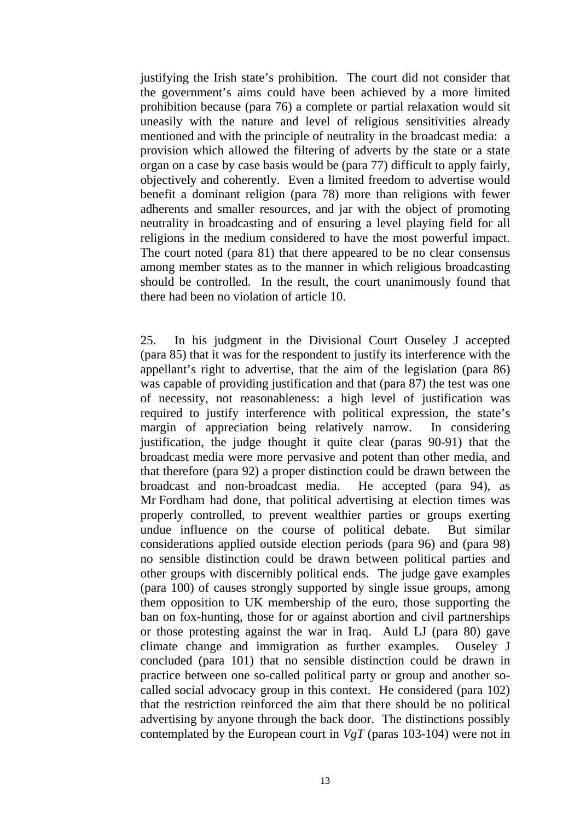justifying the Irish state's prohibition. The court did not consider that the government's aims could have been achieved by a more limited prohibition because (para 76) a complete or partial relaxation would sit uneasily with the nature and level of religious sensitivities already mentioned and with the principle of neutrality in the broadcast media: a provision which allowed the filtering of adverts by the state or a state organ on a case by case basis would be (para 77) difficult to apply fairly, objectively and coherently. Even a limited freedom to advertise would benefit a dominant religion (para 78) more than religions with fewer adherents and smaller resources, and jar with the object of promoting neutrality in broadcasting and of ensuring a level playing field for all religions in the medium considered to have the most powerful impact. The court noted (para 81) that there appeared to be no clear consensus among member states as to the manner in which religious broadcasting should be controlled. In the result, the court unanimously found that there had been no violation of article 10.

25. In his judgment in the Divisional Court Ouseley J accepted (para 85) that it was for the respondent to justify its interference with the appellant's right to advertise, that the aim of the legislation (para 86) was capable of providing justification and that (para 87) the test was one of necessity, not reasonableness: a high level of justification was required to justify interference with political expression, the state's margin of appreciation being relatively narrow. In considering justification, the judge thought it quite clear (paras 90-91) that the broadcast media were more pervasive and potent than other media, and that therefore (para 92) a proper distinction could be drawn between the broadcast and non-broadcast media. He accepted (para 94), as Mr Fordham had done, that political advertising at election times was properly controlled, to prevent wealthier parties or groups exerting undue influence on the course of political debate. But similar considerations applied outside election periods (para 96) and (para 98) no sensible distinction could be drawn between political parties and other groups with discernibly political ends. The judge gave examples (para 100) of causes strongly supported by single issue groups, among them opposition to UK membership of the euro, those supporting the ban on fox-hunting, those for or against abortion and civil partnerships or those protesting against the war in Iraq. Auld LJ (para 80) gave climate change and immigration as further examples. Ouseley J concluded (para 101) that no sensible distinction could be drawn in practice between one so-called political party or group and another socalled social advocacy group in this context. He considered (para 102) that the restriction reinforced the aim that there should be no political advertising by anyone through the back door. The distinctions possibly contemplated by the European court in *VgT* (paras 103-104) were not in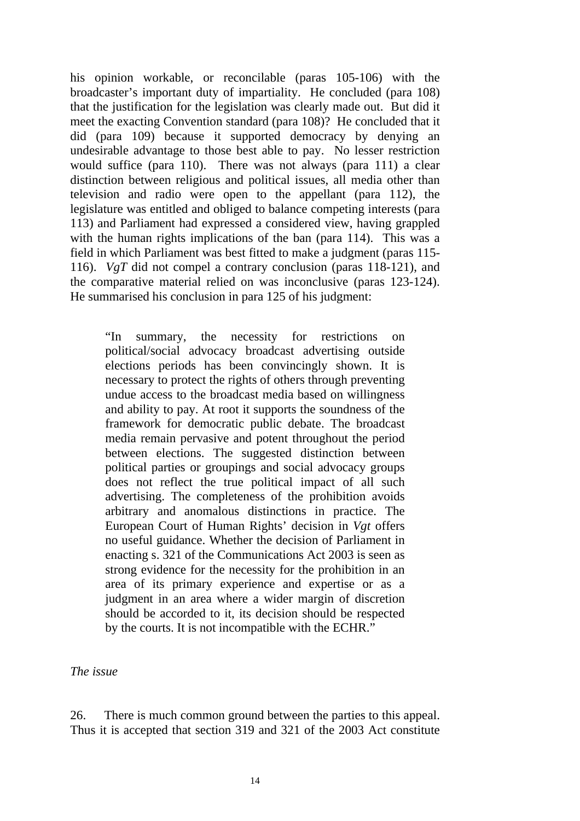his opinion workable, or reconcilable (paras 105-106) with the broadcaster's important duty of impartiality. He concluded (para 108) that the justification for the legislation was clearly made out. But did it meet the exacting Convention standard (para 108)? He concluded that it did (para 109) because it supported democracy by denying an undesirable advantage to those best able to pay. No lesser restriction would suffice (para 110). There was not always (para 111) a clear distinction between religious and political issues, all media other than television and radio were open to the appellant (para 112), the legislature was entitled and obliged to balance competing interests (para 113) and Parliament had expressed a considered view, having grappled with the human rights implications of the ban (para 114). This was a field in which Parliament was best fitted to make a judgment (paras 115- 116). *VgT* did not compel a contrary conclusion (paras 118-121), and the comparative material relied on was inconclusive (paras 123-124). He summarised his conclusion in para 125 of his judgment:

"In summary, the necessity for restrictions on political/social advocacy broadcast advertising outside elections periods has been convincingly shown. It is necessary to protect the rights of others through preventing undue access to the broadcast media based on willingness and ability to pay. At root it supports the soundness of the framework for democratic public debate. The broadcast media remain pervasive and potent throughout the period between elections. The suggested distinction between political parties or groupings and social advocacy groups does not reflect the true political impact of all such advertising. The completeness of the prohibition avoids arbitrary and anomalous distinctions in practice. The European Court of Human Rights' decision in *Vgt* offers no useful guidance. Whether the decision of Parliament in enacting s. 321 of the Communications Act 2003 is seen as strong evidence for the necessity for the prohibition in an area of its primary experience and expertise or as a judgment in an area where a wider margin of discretion should be accorded to it, its decision should be respected by the courts. It is not incompatible with the ECHR."

#### *The issue*

26. There is much common ground between the parties to this appeal. Thus it is accepted that section 319 and 321 of the 2003 Act constitute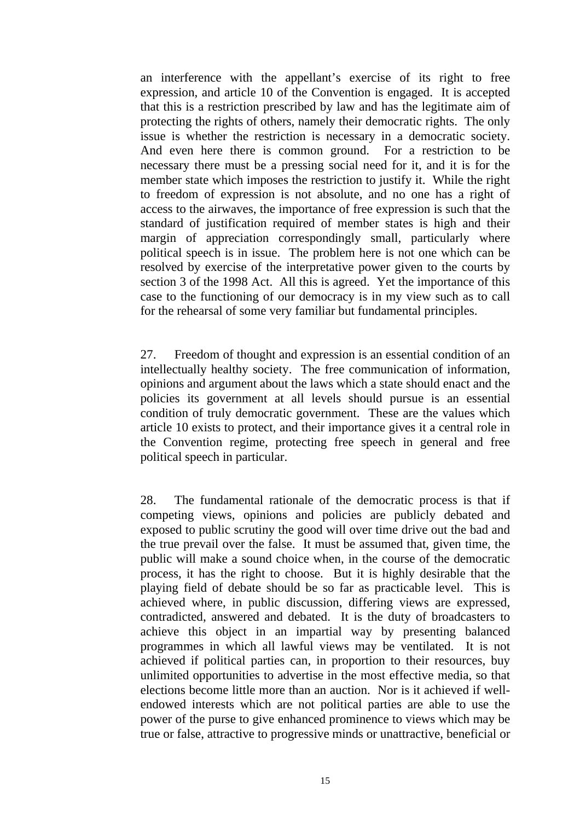an interference with the appellant's exercise of its right to free expression, and article 10 of the Convention is engaged. It is accepted that this is a restriction prescribed by law and has the legitimate aim of protecting the rights of others, namely their democratic rights. The only issue is whether the restriction is necessary in a democratic society. And even here there is common ground. For a restriction to be necessary there must be a pressing social need for it, and it is for the member state which imposes the restriction to justify it. While the right to freedom of expression is not absolute, and no one has a right of access to the airwaves, the importance of free expression is such that the standard of justification required of member states is high and their margin of appreciation correspondingly small, particularly where political speech is in issue. The problem here is not one which can be resolved by exercise of the interpretative power given to the courts by section 3 of the 1998 Act. All this is agreed. Yet the importance of this case to the functioning of our democracy is in my view such as to call for the rehearsal of some very familiar but fundamental principles.

27. Freedom of thought and expression is an essential condition of an intellectually healthy society. The free communication of information, opinions and argument about the laws which a state should enact and the policies its government at all levels should pursue is an essential condition of truly democratic government. These are the values which article 10 exists to protect, and their importance gives it a central role in the Convention regime, protecting free speech in general and free political speech in particular.

28. The fundamental rationale of the democratic process is that if competing views, opinions and policies are publicly debated and exposed to public scrutiny the good will over time drive out the bad and the true prevail over the false. It must be assumed that, given time, the public will make a sound choice when, in the course of the democratic process, it has the right to choose. But it is highly desirable that the playing field of debate should be so far as practicable level. This is achieved where, in public discussion, differing views are expressed, contradicted, answered and debated. It is the duty of broadcasters to achieve this object in an impartial way by presenting balanced programmes in which all lawful views may be ventilated. It is not achieved if political parties can, in proportion to their resources, buy unlimited opportunities to advertise in the most effective media, so that elections become little more than an auction. Nor is it achieved if wellendowed interests which are not political parties are able to use the power of the purse to give enhanced prominence to views which may be true or false, attractive to progressive minds or unattractive, beneficial or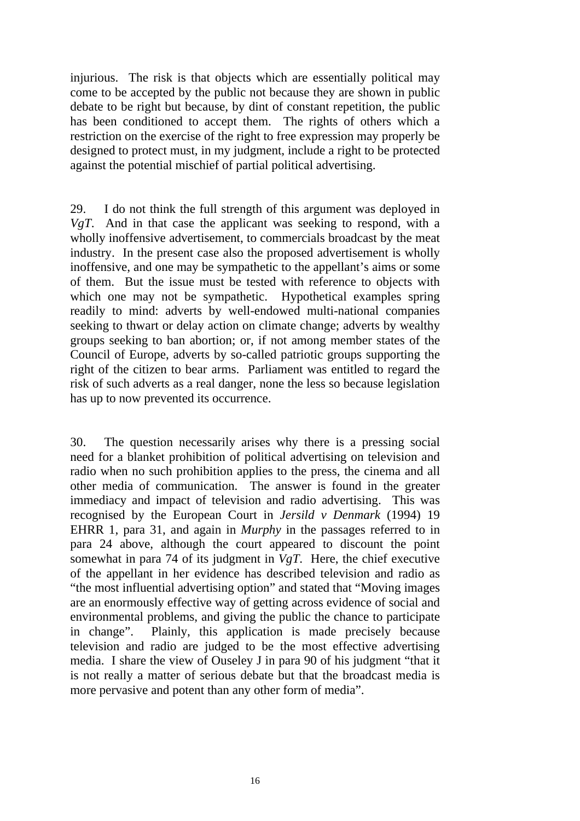injurious. The risk is that objects which are essentially political may come to be accepted by the public not because they are shown in public debate to be right but because, by dint of constant repetition, the public has been conditioned to accept them. The rights of others which a restriction on the exercise of the right to free expression may properly be designed to protect must, in my judgment, include a right to be protected against the potential mischief of partial political advertising.

29. I do not think the full strength of this argument was deployed in *VgT*. And in that case the applicant was seeking to respond, with a wholly inoffensive advertisement, to commercials broadcast by the meat industry. In the present case also the proposed advertisement is wholly inoffensive, and one may be sympathetic to the appellant's aims or some of them. But the issue must be tested with reference to objects with which one may not be sympathetic. Hypothetical examples spring readily to mind: adverts by well-endowed multi-national companies seeking to thwart or delay action on climate change; adverts by wealthy groups seeking to ban abortion; or, if not among member states of the Council of Europe, adverts by so-called patriotic groups supporting the right of the citizen to bear arms. Parliament was entitled to regard the risk of such adverts as a real danger, none the less so because legislation has up to now prevented its occurrence.

30. The question necessarily arises why there is a pressing social need for a blanket prohibition of political advertising on television and radio when no such prohibition applies to the press, the cinema and all other media of communication. The answer is found in the greater immediacy and impact of television and radio advertising. This was recognised by the European Court in *Jersild v Denmark* (1994) 19 EHRR 1, para 31, and again in *Murphy* in the passages referred to in para 24 above, although the court appeared to discount the point somewhat in para 74 of its judgment in *VgT*. Here, the chief executive of the appellant in her evidence has described television and radio as "the most influential advertising option" and stated that "Moving images are an enormously effective way of getting across evidence of social and environmental problems, and giving the public the chance to participate in change". Plainly, this application is made precisely because television and radio are judged to be the most effective advertising media. I share the view of Ouseley J in para 90 of his judgment "that it is not really a matter of serious debate but that the broadcast media is more pervasive and potent than any other form of media".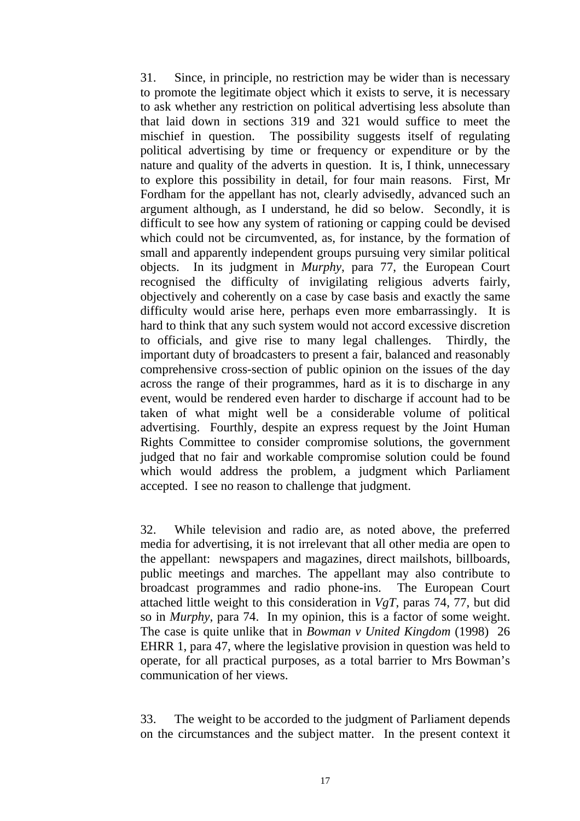31. Since, in principle, no restriction may be wider than is necessary to promote the legitimate object which it exists to serve, it is necessary to ask whether any restriction on political advertising less absolute than that laid down in sections 319 and 321 would suffice to meet the mischief in question. The possibility suggests itself of regulating political advertising by time or frequency or expenditure or by the nature and quality of the adverts in question. It is, I think, unnecessary to explore this possibility in detail, for four main reasons. First, Mr Fordham for the appellant has not, clearly advisedly, advanced such an argument although, as I understand, he did so below. Secondly, it is difficult to see how any system of rationing or capping could be devised which could not be circumvented, as, for instance, by the formation of small and apparently independent groups pursuing very similar political objects. In its judgment in *Murphy*, para 77, the European Court recognised the difficulty of invigilating religious adverts fairly, objectively and coherently on a case by case basis and exactly the same difficulty would arise here, perhaps even more embarrassingly. It is hard to think that any such system would not accord excessive discretion to officials, and give rise to many legal challenges. Thirdly, the important duty of broadcasters to present a fair, balanced and reasonably comprehensive cross-section of public opinion on the issues of the day across the range of their programmes, hard as it is to discharge in any event, would be rendered even harder to discharge if account had to be taken of what might well be a considerable volume of political advertising. Fourthly, despite an express request by the Joint Human Rights Committee to consider compromise solutions, the government judged that no fair and workable compromise solution could be found which would address the problem, a judgment which Parliament accepted. I see no reason to challenge that judgment.

32. While television and radio are, as noted above, the preferred media for advertising, it is not irrelevant that all other media are open to the appellant: newspapers and magazines, direct mailshots, billboards, public meetings and marches. The appellant may also contribute to broadcast programmes and radio phone-ins. The European Court attached little weight to this consideration in *VgT*, paras 74, 77, but did so in *Murphy*, para 74. In my opinion, this is a factor of some weight. The case is quite unlike that in *Bowman v United Kingdom* (1998) 26 EHRR 1, para 47, where the legislative provision in question was held to operate, for all practical purposes, as a total barrier to Mrs Bowman's communication of her views.

33. The weight to be accorded to the judgment of Parliament depends on the circumstances and the subject matter. In the present context it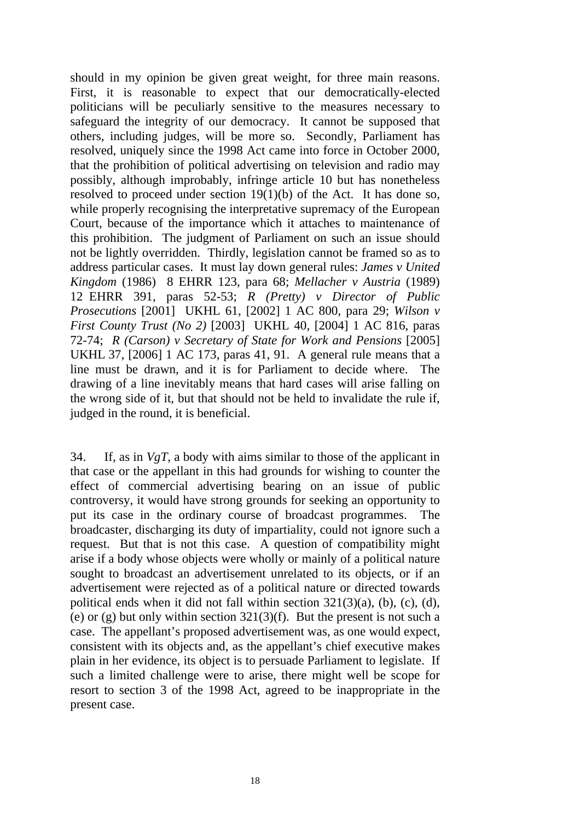should in my opinion be given great weight, for three main reasons. First, it is reasonable to expect that our democratically-elected politicians will be peculiarly sensitive to the measures necessary to safeguard the integrity of our democracy. It cannot be supposed that others, including judges, will be more so. Secondly, Parliament has resolved, uniquely since the 1998 Act came into force in October 2000, that the prohibition of political advertising on television and radio may possibly, although improbably, infringe article 10 but has nonetheless resolved to proceed under section 19(1)(b) of the Act. It has done so, while properly recognising the interpretative supremacy of the European Court, because of the importance which it attaches to maintenance of this prohibition. The judgment of Parliament on such an issue should not be lightly overridden. Thirdly, legislation cannot be framed so as to address particular cases. It must lay down general rules: *James v United Kingdom* (1986) 8 EHRR 123, para 68; *Mellacher v Austria* (1989) 12 EHRR 391, paras 52-53; *R (Pretty) v Director of Public Prosecutions* [2001] UKHL 61, [2002] 1 AC 800, para 29; *Wilson v First County Trust (No 2)* [2003] UKHL 40, [2004] 1 AC 816, paras 72-74; *R (Carson) v Secretary of State for Work and Pensions* [2005] UKHL 37, [2006] 1 AC 173, paras 41, 91. A general rule means that a line must be drawn, and it is for Parliament to decide where. The drawing of a line inevitably means that hard cases will arise falling on the wrong side of it, but that should not be held to invalidate the rule if, judged in the round, it is beneficial.

34. If, as in *VgT*, a body with aims similar to those of the applicant in that case or the appellant in this had grounds for wishing to counter the effect of commercial advertising bearing on an issue of public controversy, it would have strong grounds for seeking an opportunity to put its case in the ordinary course of broadcast programmes. The broadcaster, discharging its duty of impartiality, could not ignore such a request. But that is not this case. A question of compatibility might arise if a body whose objects were wholly or mainly of a political nature sought to broadcast an advertisement unrelated to its objects, or if an advertisement were rejected as of a political nature or directed towards political ends when it did not fall within section  $321(3)(a)$ , (b), (c), (d), (e) or (g) but only within section  $321(3)(f)$ . But the present is not such a case. The appellant's proposed advertisement was, as one would expect, consistent with its objects and, as the appellant's chief executive makes plain in her evidence, its object is to persuade Parliament to legislate. If such a limited challenge were to arise, there might well be scope for resort to section 3 of the 1998 Act, agreed to be inappropriate in the present case.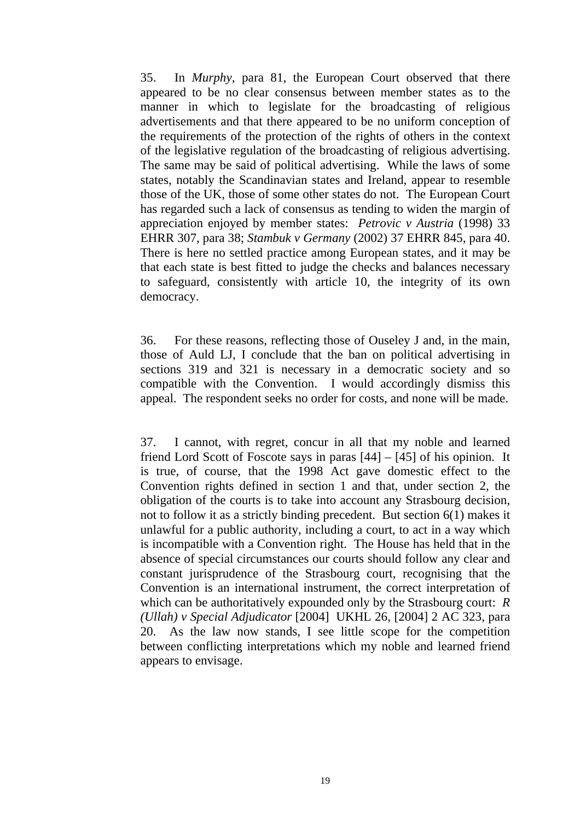35. In *Murphy*, para 81, the European Court observed that there appeared to be no clear consensus between member states as to the manner in which to legislate for the broadcasting of religious advertisements and that there appeared to be no uniform conception of the requirements of the protection of the rights of others in the context of the legislative regulation of the broadcasting of religious advertising. The same may be said of political advertising. While the laws of some states, notably the Scandinavian states and Ireland, appear to resemble those of the UK, those of some other states do not. The European Court has regarded such a lack of consensus as tending to widen the margin of appreciation enjoyed by member states: *Petrovic v Austria* (1998) 33 EHRR 307, para 38; *Stambuk v Germany* (2002) 37 EHRR 845, para 40. There is here no settled practice among European states, and it may be that each state is best fitted to judge the checks and balances necessary to safeguard, consistently with article 10, the integrity of its own democracy.

36. For these reasons, reflecting those of Ouseley J and, in the main, those of Auld LJ, I conclude that the ban on political advertising in sections 319 and 321 is necessary in a democratic society and so compatible with the Convention. I would accordingly dismiss this appeal. The respondent seeks no order for costs, and none will be made.

37. I cannot, with regret, concur in all that my noble and learned friend Lord Scott of Foscote says in paras [44] – [45] of his opinion. It is true, of course, that the 1998 Act gave domestic effect to the Convention rights defined in section 1 and that, under section 2, the obligation of the courts is to take into account any Strasbourg decision, not to follow it as a strictly binding precedent. But section 6(1) makes it unlawful for a public authority, including a court, to act in a way which is incompatible with a Convention right. The House has held that in the absence of special circumstances our courts should follow any clear and constant jurisprudence of the Strasbourg court, recognising that the Convention is an international instrument, the correct interpretation of which can be authoritatively expounded only by the Strasbourg court: *R (Ullah) v Special Adjudicator* [2004] UKHL 26, [2004] 2 AC 323, para 20. As the law now stands, I see little scope for the competition between conflicting interpretations which my noble and learned friend appears to envisage.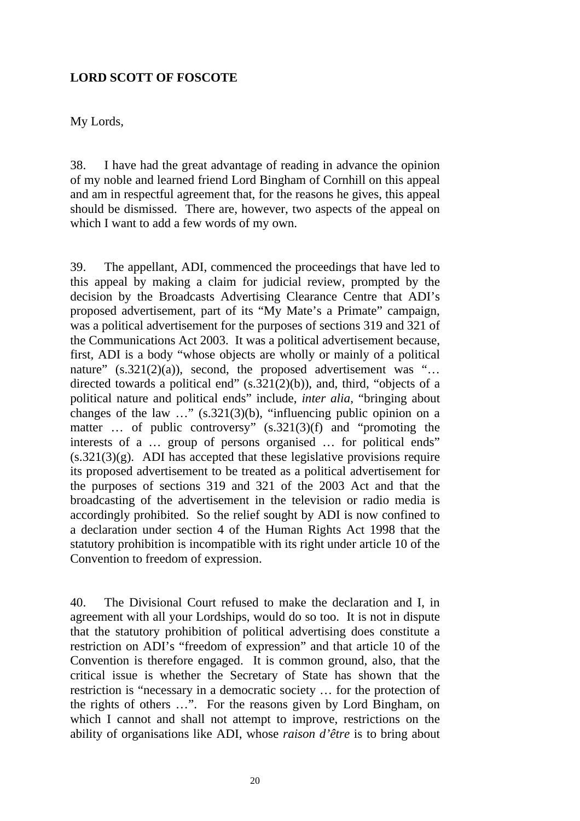### **LORD SCOTT OF FOSCOTE**

### My Lords,

38. I have had the great advantage of reading in advance the opinion of my noble and learned friend Lord Bingham of Cornhill on this appeal and am in respectful agreement that, for the reasons he gives, this appeal should be dismissed. There are, however, two aspects of the appeal on which I want to add a few words of my own.

39. The appellant, ADI, commenced the proceedings that have led to this appeal by making a claim for judicial review, prompted by the decision by the Broadcasts Advertising Clearance Centre that ADI's proposed advertisement, part of its "My Mate's a Primate" campaign, was a political advertisement for the purposes of sections 319 and 321 of the Communications Act 2003. It was a political advertisement because, first, ADI is a body "whose objects are wholly or mainly of a political nature"  $(s.321(2)(a))$ , second, the proposed advertisement was "... directed towards a political end"  $(s.\overline{321(2)}(b))$ , and, third, "objects of a political nature and political ends" include, *inter alia*, "bringing about changes of the law  $\ldots$ " (s.321(3)(b), "influencing public opinion on a matter ... of public controversy" (s.321(3)(f) and "promoting the interests of a … group of persons organised … for political ends"  $(s.321(3)(g)$ . ADI has accepted that these legislative provisions require its proposed advertisement to be treated as a political advertisement for the purposes of sections 319 and 321 of the 2003 Act and that the broadcasting of the advertisement in the television or radio media is accordingly prohibited. So the relief sought by ADI is now confined to a declaration under section 4 of the Human Rights Act 1998 that the statutory prohibition is incompatible with its right under article 10 of the Convention to freedom of expression.

40. The Divisional Court refused to make the declaration and I, in agreement with all your Lordships, would do so too. It is not in dispute that the statutory prohibition of political advertising does constitute a restriction on ADI's "freedom of expression" and that article 10 of the Convention is therefore engaged. It is common ground, also, that the critical issue is whether the Secretary of State has shown that the restriction is "necessary in a democratic society … for the protection of the rights of others …". For the reasons given by Lord Bingham, on which I cannot and shall not attempt to improve, restrictions on the ability of organisations like ADI, whose *raison d'être* is to bring about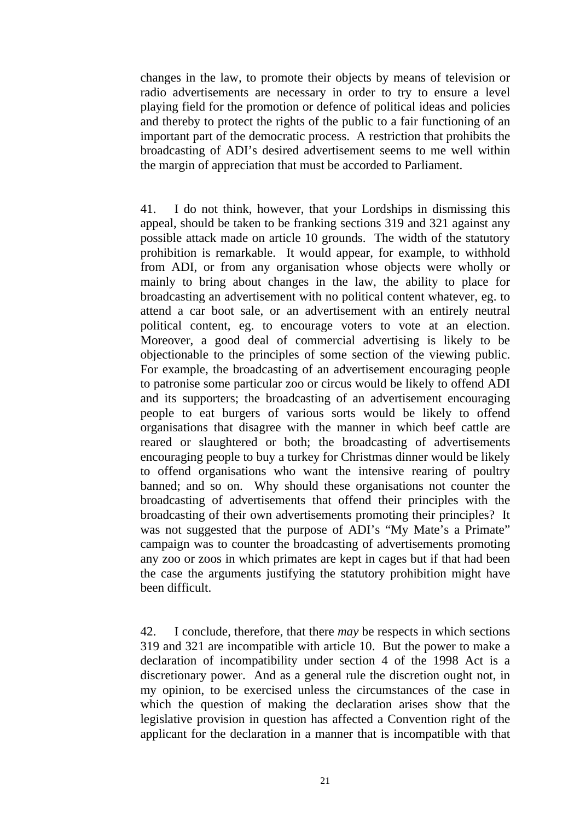changes in the law, to promote their objects by means of television or radio advertisements are necessary in order to try to ensure a level playing field for the promotion or defence of political ideas and policies and thereby to protect the rights of the public to a fair functioning of an important part of the democratic process. A restriction that prohibits the broadcasting of ADI's desired advertisement seems to me well within the margin of appreciation that must be accorded to Parliament.

41. I do not think, however, that your Lordships in dismissing this appeal, should be taken to be franking sections 319 and 321 against any possible attack made on article 10 grounds. The width of the statutory prohibition is remarkable. It would appear, for example, to withhold from ADI, or from any organisation whose objects were wholly or mainly to bring about changes in the law, the ability to place for broadcasting an advertisement with no political content whatever, eg. to attend a car boot sale, or an advertisement with an entirely neutral political content, eg. to encourage voters to vote at an election. Moreover, a good deal of commercial advertising is likely to be objectionable to the principles of some section of the viewing public. For example, the broadcasting of an advertisement encouraging people to patronise some particular zoo or circus would be likely to offend ADI and its supporters; the broadcasting of an advertisement encouraging people to eat burgers of various sorts would be likely to offend organisations that disagree with the manner in which beef cattle are reared or slaughtered or both; the broadcasting of advertisements encouraging people to buy a turkey for Christmas dinner would be likely to offend organisations who want the intensive rearing of poultry banned; and so on. Why should these organisations not counter the broadcasting of advertisements that offend their principles with the broadcasting of their own advertisements promoting their principles? It was not suggested that the purpose of ADI's "My Mate's a Primate" campaign was to counter the broadcasting of advertisements promoting any zoo or zoos in which primates are kept in cages but if that had been the case the arguments justifying the statutory prohibition might have been difficult.

42. I conclude, therefore, that there *may* be respects in which sections 319 and 321 are incompatible with article 10. But the power to make a declaration of incompatibility under section 4 of the 1998 Act is a discretionary power. And as a general rule the discretion ought not, in my opinion, to be exercised unless the circumstances of the case in which the question of making the declaration arises show that the legislative provision in question has affected a Convention right of the applicant for the declaration in a manner that is incompatible with that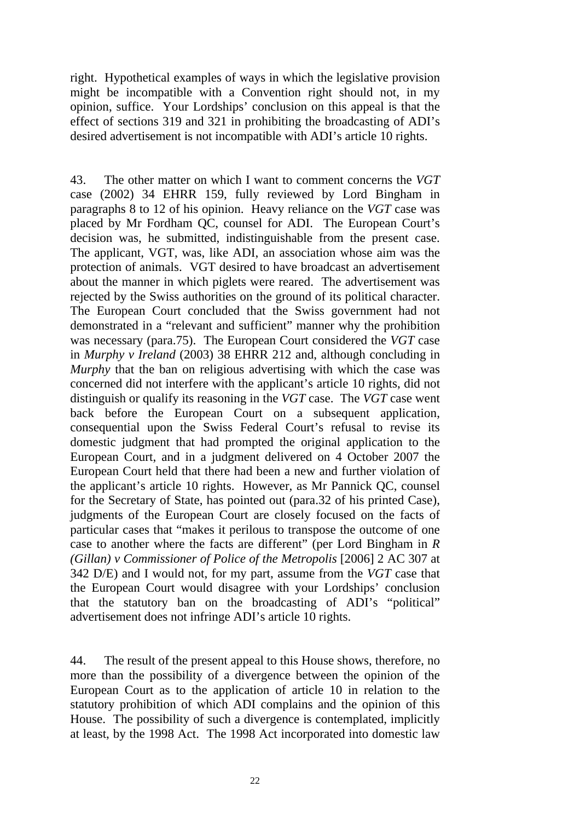right. Hypothetical examples of ways in which the legislative provision might be incompatible with a Convention right should not, in my opinion, suffice. Your Lordships' conclusion on this appeal is that the effect of sections 319 and 321 in prohibiting the broadcasting of ADI's desired advertisement is not incompatible with ADI's article 10 rights.

43. The other matter on which I want to comment concerns the *VGT*  case (2002) 34 EHRR 159, fully reviewed by Lord Bingham in paragraphs 8 to 12 of his opinion. Heavy reliance on the *VGT* case was placed by Mr Fordham QC, counsel for ADI. The European Court's decision was, he submitted, indistinguishable from the present case. The applicant, VGT, was, like ADI, an association whose aim was the protection of animals. VGT desired to have broadcast an advertisement about the manner in which piglets were reared. The advertisement was rejected by the Swiss authorities on the ground of its political character. The European Court concluded that the Swiss government had not demonstrated in a "relevant and sufficient" manner why the prohibition was necessary (para.75). The European Court considered the *VGT* case in *Murphy v Ireland* (2003) 38 EHRR 212 and, although concluding in *Murphy* that the ban on religious advertising with which the case was concerned did not interfere with the applicant's article 10 rights, did not distinguish or qualify its reasoning in the *VGT* case. The *VGT* case went back before the European Court on a subsequent application, consequential upon the Swiss Federal Court's refusal to revise its domestic judgment that had prompted the original application to the European Court, and in a judgment delivered on 4 October 2007 the European Court held that there had been a new and further violation of the applicant's article 10 rights. However, as Mr Pannick QC, counsel for the Secretary of State, has pointed out (para.32 of his printed Case), judgments of the European Court are closely focused on the facts of particular cases that "makes it perilous to transpose the outcome of one case to another where the facts are different" (per Lord Bingham in *R (Gillan) v Commissioner of Police of the Metropolis* [2006] 2 AC 307 at 342 D/E) and I would not, for my part, assume from the *VGT* case that the European Court would disagree with your Lordships' conclusion that the statutory ban on the broadcasting of ADI's "political" advertisement does not infringe ADI's article 10 rights.

44. The result of the present appeal to this House shows, therefore, no more than the possibility of a divergence between the opinion of the European Court as to the application of article 10 in relation to the statutory prohibition of which ADI complains and the opinion of this House. The possibility of such a divergence is contemplated, implicitly at least, by the 1998 Act. The 1998 Act incorporated into domestic law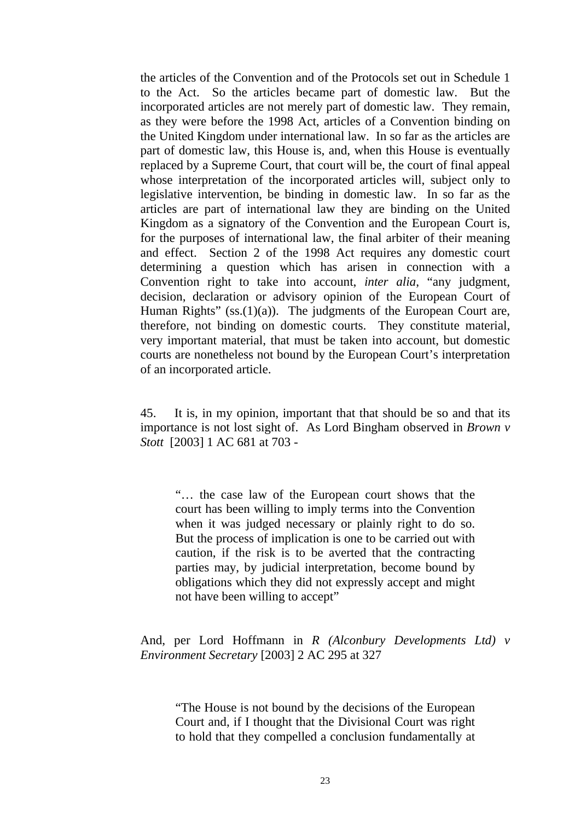the articles of the Convention and of the Protocols set out in Schedule 1 to the Act. So the articles became part of domestic law. But the incorporated articles are not merely part of domestic law. They remain, as they were before the 1998 Act, articles of a Convention binding on the United Kingdom under international law. In so far as the articles are part of domestic law, this House is, and, when this House is eventually replaced by a Supreme Court, that court will be, the court of final appeal whose interpretation of the incorporated articles will, subject only to legislative intervention, be binding in domestic law. In so far as the articles are part of international law they are binding on the United Kingdom as a signatory of the Convention and the European Court is, for the purposes of international law, the final arbiter of their meaning and effect. Section 2 of the 1998 Act requires any domestic court determining a question which has arisen in connection with a Convention right to take into account, *inter alia*, "any judgment, decision, declaration or advisory opinion of the European Court of Human Rights"  $(ss.(1)(a))$ . The judgments of the European Court are, therefore, not binding on domestic courts. They constitute material, very important material, that must be taken into account, but domestic courts are nonetheless not bound by the European Court's interpretation of an incorporated article.

45. It is, in my opinion, important that that should be so and that its importance is not lost sight of. As Lord Bingham observed in *Brown v Stott* [2003] 1 AC 681 at 703 -

"… the case law of the European court shows that the court has been willing to imply terms into the Convention when it was judged necessary or plainly right to do so. But the process of implication is one to be carried out with caution, if the risk is to be averted that the contracting parties may, by judicial interpretation, become bound by obligations which they did not expressly accept and might not have been willing to accept"

And, per Lord Hoffmann in *R (Alconbury Developments Ltd) v Environment Secretary* [2003] 2 AC 295 at 327

"The House is not bound by the decisions of the European Court and, if I thought that the Divisional Court was right to hold that they compelled a conclusion fundamentally at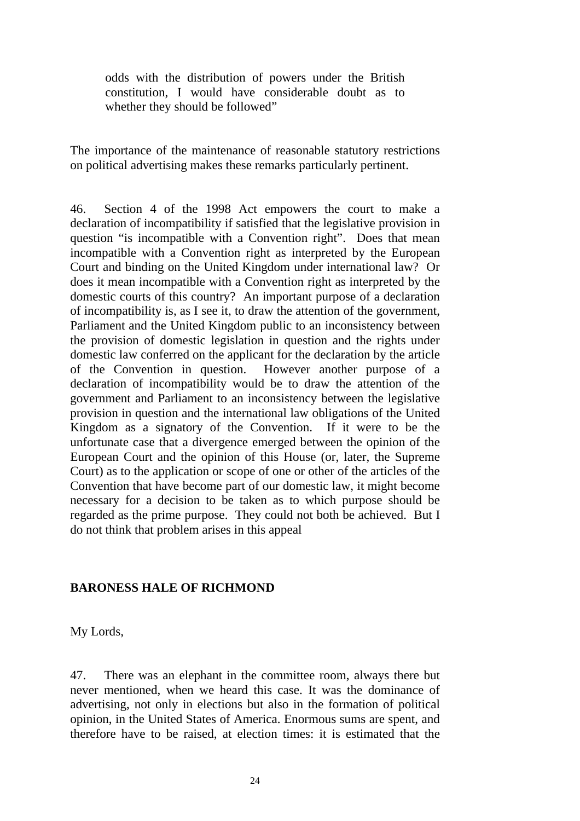odds with the distribution of powers under the British constitution, I would have considerable doubt as to whether they should be followed"

The importance of the maintenance of reasonable statutory restrictions on political advertising makes these remarks particularly pertinent.

46. Section 4 of the 1998 Act empowers the court to make a declaration of incompatibility if satisfied that the legislative provision in question "is incompatible with a Convention right". Does that mean incompatible with a Convention right as interpreted by the European Court and binding on the United Kingdom under international law? Or does it mean incompatible with a Convention right as interpreted by the domestic courts of this country? An important purpose of a declaration of incompatibility is, as I see it, to draw the attention of the government, Parliament and the United Kingdom public to an inconsistency between the provision of domestic legislation in question and the rights under domestic law conferred on the applicant for the declaration by the article of the Convention in question. However another purpose of a declaration of incompatibility would be to draw the attention of the government and Parliament to an inconsistency between the legislative provision in question and the international law obligations of the United Kingdom as a signatory of the Convention. If it were to be the unfortunate case that a divergence emerged between the opinion of the European Court and the opinion of this House (or, later, the Supreme Court) as to the application or scope of one or other of the articles of the Convention that have become part of our domestic law, it might become necessary for a decision to be taken as to which purpose should be regarded as the prime purpose. They could not both be achieved. But I do not think that problem arises in this appeal

#### **BARONESS HALE OF RICHMOND**

My Lords,

47. There was an elephant in the committee room, always there but never mentioned, when we heard this case. It was the dominance of advertising, not only in elections but also in the formation of political opinion, in the United States of America. Enormous sums are spent, and therefore have to be raised, at election times: it is estimated that the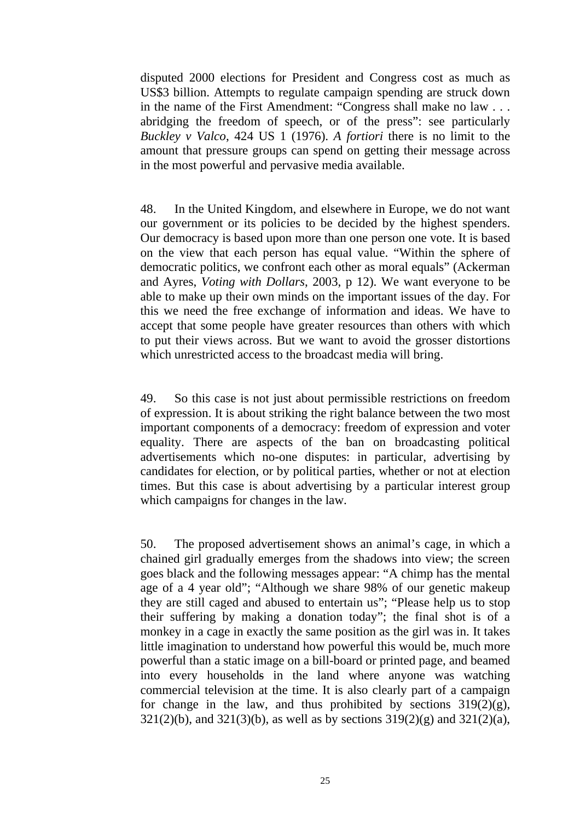disputed 2000 elections for President and Congress cost as much as US\$3 billion. Attempts to regulate campaign spending are struck down in the name of the First Amendment: "Congress shall make no law . . . abridging the freedom of speech, or of the press": see particularly *Buckley v Valco*, 424 US 1 (1976). *A fortiori* there is no limit to the amount that pressure groups can spend on getting their message across in the most powerful and pervasive media available.

48. In the United Kingdom, and elsewhere in Europe, we do not want our government or its policies to be decided by the highest spenders. Our democracy is based upon more than one person one vote. It is based on the view that each person has equal value. "Within the sphere of democratic politics, we confront each other as moral equals" (Ackerman and Ayres, *Voting with Dollars*, 2003, p 12). We want everyone to be able to make up their own minds on the important issues of the day. For this we need the free exchange of information and ideas. We have to accept that some people have greater resources than others with which to put their views across. But we want to avoid the grosser distortions which unrestricted access to the broadcast media will bring.

49. So this case is not just about permissible restrictions on freedom of expression. It is about striking the right balance between the two most important components of a democracy: freedom of expression and voter equality. There are aspects of the ban on broadcasting political advertisements which no-one disputes: in particular, advertising by candidates for election, or by political parties, whether or not at election times. But this case is about advertising by a particular interest group which campaigns for changes in the law.

50. The proposed advertisement shows an animal's cage, in which a chained girl gradually emerges from the shadows into view; the screen goes black and the following messages appear: "A chimp has the mental age of a 4 year old"; "Although we share 98% of our genetic makeup they are still caged and abused to entertain us"; "Please help us to stop their suffering by making a donation today"; the final shot is of a monkey in a cage in exactly the same position as the girl was in. It takes little imagination to understand how powerful this would be, much more powerful than a static image on a bill-board or printed page, and beamed into every households in the land where anyone was watching commercial television at the time. It is also clearly part of a campaign for change in the law, and thus prohibited by sections  $319(2)(g)$ ,  $321(2)(b)$ , and  $321(3)(b)$ , as well as by sections  $319(2)(g)$  and  $321(2)(a)$ ,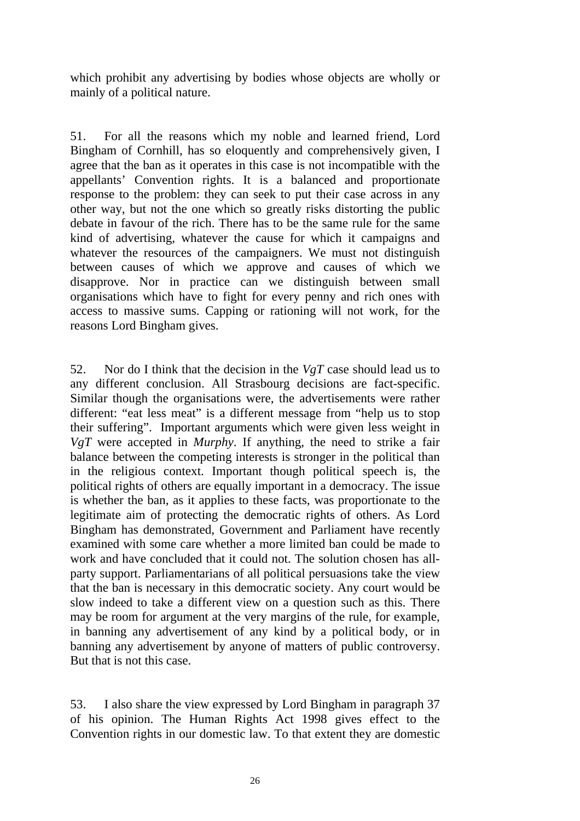which prohibit any advertising by bodies whose objects are wholly or mainly of a political nature.

51. For all the reasons which my noble and learned friend, Lord Bingham of Cornhill, has so eloquently and comprehensively given, I agree that the ban as it operates in this case is not incompatible with the appellants' Convention rights. It is a balanced and proportionate response to the problem: they can seek to put their case across in any other way, but not the one which so greatly risks distorting the public debate in favour of the rich. There has to be the same rule for the same kind of advertising, whatever the cause for which it campaigns and whatever the resources of the campaigners. We must not distinguish between causes of which we approve and causes of which we disapprove. Nor in practice can we distinguish between small organisations which have to fight for every penny and rich ones with access to massive sums. Capping or rationing will not work, for the reasons Lord Bingham gives.

52. Nor do I think that the decision in the *VgT* case should lead us to any different conclusion. All Strasbourg decisions are fact-specific. Similar though the organisations were, the advertisements were rather different: "eat less meat" is a different message from "help us to stop their suffering". Important arguments which were given less weight in *VgT* were accepted in *Murphy*. If anything, the need to strike a fair balance between the competing interests is stronger in the political than in the religious context. Important though political speech is, the political rights of others are equally important in a democracy. The issue is whether the ban, as it applies to these facts, was proportionate to the legitimate aim of protecting the democratic rights of others. As Lord Bingham has demonstrated, Government and Parliament have recently examined with some care whether a more limited ban could be made to work and have concluded that it could not. The solution chosen has allparty support. Parliamentarians of all political persuasions take the view that the ban is necessary in this democratic society. Any court would be slow indeed to take a different view on a question such as this. There may be room for argument at the very margins of the rule, for example, in banning any advertisement of any kind by a political body, or in banning any advertisement by anyone of matters of public controversy. But that is not this case.

53. I also share the view expressed by Lord Bingham in paragraph 37 of his opinion. The Human Rights Act 1998 gives effect to the Convention rights in our domestic law. To that extent they are domestic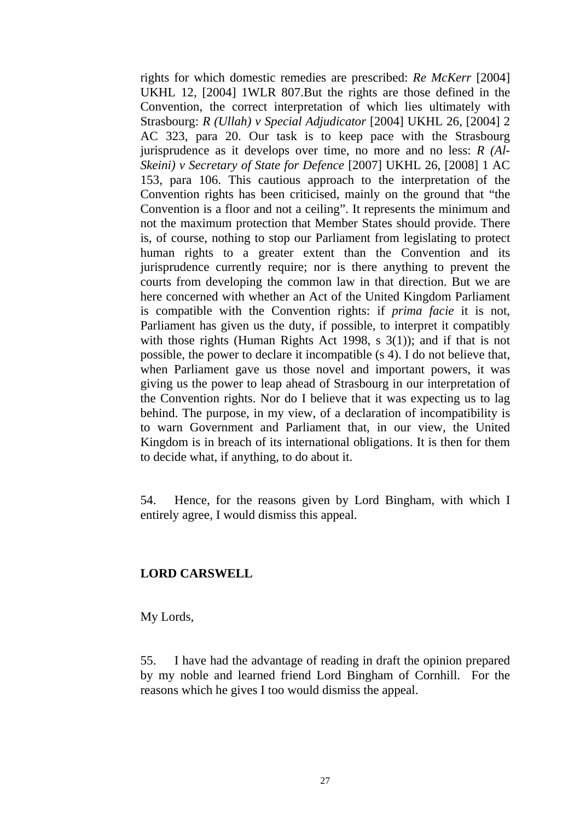rights for which domestic remedies are prescribed: *Re McKerr* [2004] UKHL 12, [2004] 1WLR 807.But the rights are those defined in the Convention, the correct interpretation of which lies ultimately with Strasbourg: *R (Ullah) v Special Adjudicator* [2004] UKHL 26, [2004] 2 AC 323, para 20. Our task is to keep pace with the Strasbourg jurisprudence as it develops over time, no more and no less: *R (Al-Skeini) v Secretary of State for Defence* [2007] UKHL 26, [2008] 1 AC 153, para 106. This cautious approach to the interpretation of the Convention rights has been criticised, mainly on the ground that "the Convention is a floor and not a ceiling". It represents the minimum and not the maximum protection that Member States should provide. There is, of course, nothing to stop our Parliament from legislating to protect human rights to a greater extent than the Convention and its jurisprudence currently require; nor is there anything to prevent the courts from developing the common law in that direction. But we are here concerned with whether an Act of the United Kingdom Parliament is compatible with the Convention rights: if *prima facie* it is not, Parliament has given us the duty, if possible, to interpret it compatibly with those rights (Human Rights Act 1998, s 3(1)); and if that is not possible, the power to declare it incompatible (s 4). I do not believe that, when Parliament gave us those novel and important powers, it was giving us the power to leap ahead of Strasbourg in our interpretation of the Convention rights. Nor do I believe that it was expecting us to lag behind. The purpose, in my view, of a declaration of incompatibility is to warn Government and Parliament that, in our view, the United Kingdom is in breach of its international obligations. It is then for them to decide what, if anything, to do about it.

54. Hence, for the reasons given by Lord Bingham, with which I entirely agree, I would dismiss this appeal.

#### **LORD CARSWELL**

My Lords,

55. I have had the advantage of reading in draft the opinion prepared by my noble and learned friend Lord Bingham of Cornhill. For the reasons which he gives I too would dismiss the appeal.